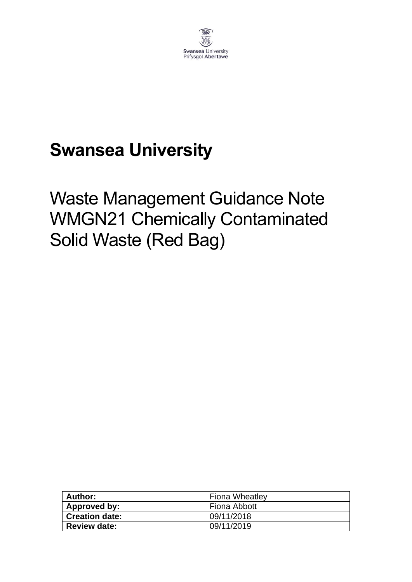

# **Swansea University**

# Waste Management Guidance Note WMGN21 Chemically Contaminated Solid Waste (Red Bag)

| <b>Author:</b> | <b>Fiona Wheatley</b> |
|----------------|-----------------------|
| Approved by:   | Fiona Abbott          |
| Creation date: | 09/11/2018            |
| Review date:   | 09/11/2019            |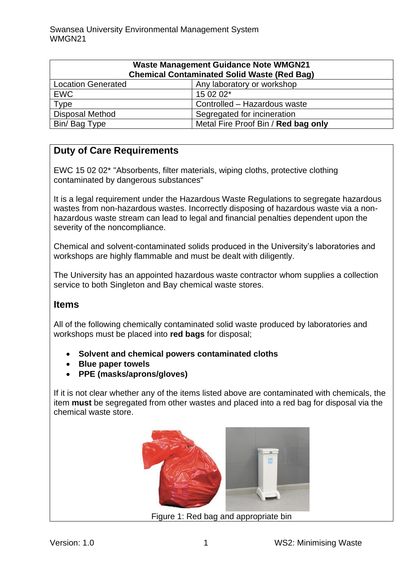| <b>Waste Management Guidance Note WMGN21</b><br><b>Chemical Contaminated Solid Waste (Red Bag)</b> |                                     |
|----------------------------------------------------------------------------------------------------|-------------------------------------|
| <b>Location Generated</b>                                                                          | Any laboratory or workshop          |
| <b>EWC</b>                                                                                         | 15 02 02*                           |
| <b>Type</b>                                                                                        | Controlled - Hazardous waste        |
| <b>Disposal Method</b>                                                                             | Segregated for incineration         |
| Bin/ Bag Type                                                                                      | Metal Fire Proof Bin / Red bag only |

#### **Duty of Care Requirements**

EWC 15 02 02\* "Absorbents, filter materials, wiping cloths, protective clothing contaminated by dangerous substances"

It is a legal requirement under the Hazardous Waste Regulations to segregate hazardous wastes from non-hazardous wastes. Incorrectly disposing of hazardous waste via a nonhazardous waste stream can lead to legal and financial penalties dependent upon the severity of the noncompliance.

Chemical and solvent-contaminated solids produced in the University's laboratories and workshops are highly flammable and must be dealt with diligently.

The University has an appointed hazardous waste contractor whom supplies a collection service to both Singleton and Bay chemical waste stores.

#### **Items**

All of the following chemically contaminated solid waste produced by laboratories and workshops must be placed into **red bags** for disposal;

- **Solvent and chemical powers contaminated cloths**
- **Blue paper towels**
- **PPE (masks/aprons/gloves)**

If it is not clear whether any of the items listed above are contaminated with chemicals, the item **must** be segregated from other wastes and placed into a red bag for disposal via the chemical waste store.



Figure 1: Red bag and appropriate bin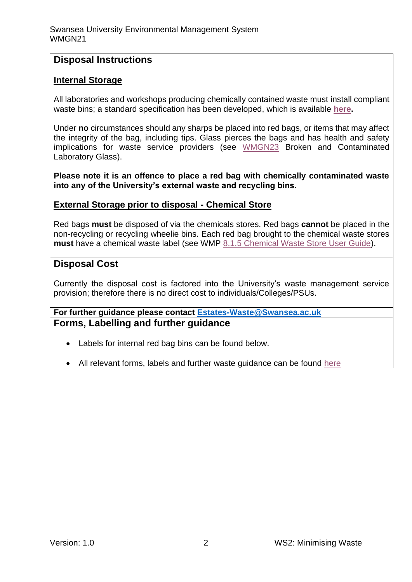#### **Disposal Instructions**

#### **Internal Storage**

All laboratories and workshops producing chemically contained waste must install compliant waste bins; a standard specification has been developed, which is available **[here.](https://staff.swansea.ac.uk/media/compliant-chemically-contaminated-and-clinical-waste-bins.pdf)**

Under **no** circumstances should any sharps be placed into red bags, or items that may affect the integrity of the bag, including tips. Glass pierces the bags and has health and safety implications for waste service providers (see [WMGN23](https://www.swansea.ac.uk/media/wmgn23-laboratory-and-workshop-glass-and-glass-sharps-waste.pdf) Broken and Contaminated Laboratory Glass).

**Please note it is an offence to place a red bag with chemically contaminated waste into any of the University's external waste and recycling bins.**

#### **External Storage prior to disposal - Chemical Store**

Red bags **must** be disposed of via the chemicals stores. Red bags **cannot** be placed in the non-recycling or recycling wheelie bins. Each red bag brought to the chemical waste stores **must** have a chemical waste label (see WMP [8.1.5 Chemical Waste Store User Guide\)](https://www.swansea.ac.uk/media/8.1.5-chemical-waste-store-user-procedure-v2.pdf).

#### **Disposal Cost**

Currently the disposal cost is factored into the University's waste management service provision; therefore there is no direct cost to individuals/Colleges/PSUs.

#### **For further guidance please contact [Estates-Waste@Swansea.ac.uk](mailto:Estates-Waste@Swansea.ac.uk) Forms, Labelling and further guidance**

- Labels for internal red bag bins can be found below.
- All relevant forms, labels and further waste guidance can be found [here](https://www.swansea.ac.uk/media/wmgn23-laboratory-and-workshop-glass-and-glass-sharps-waste.pdf)